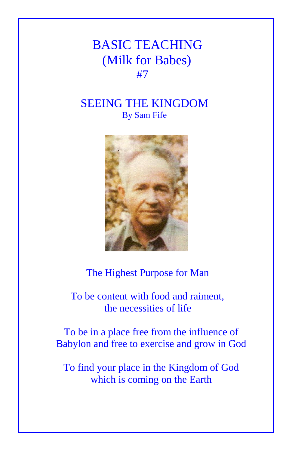## BASIC TEACHING (Milk for Babes) **#7**

## SEEING THE KINGDOM By Sam Fife



## The Highest Purpose for Man

 To be content with food and raiment, the necessities of life

To be in a place free from the influence of Babylon and free to exercise and grow in God

To find your place in the Kingdom of God which is coming on the Earth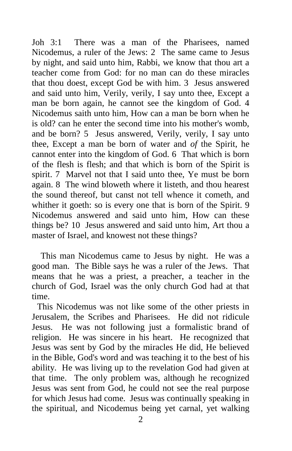Joh 3:1 There was a man of the Pharisees, named Nicodemus, a ruler of the Jews: 2 The same came to Jesus by night, and said unto him, Rabbi, we know that thou art a teacher come from God: for no man can do these miracles that thou doest, except God be with him. 3 Jesus answered and said unto him, Verily, verily, I say unto thee, Except a man be born again, he cannot see the kingdom of God. 4 Nicodemus saith unto him, How can a man be born when he is old? can he enter the second time into his mother's womb, and be born? 5 Jesus answered, Verily, verily, I say unto thee, Except a man be born of water and *of* the Spirit, he cannot enter into the kingdom of God. 6 That which is born of the flesh is flesh; and that which is born of the Spirit is spirit. 7 Marvel not that I said unto thee, Ye must be born again. 8 The wind bloweth where it listeth, and thou hearest the sound thereof, but canst not tell whence it cometh, and whither it goeth: so is every one that is born of the Spirit. 9 Nicodemus answered and said unto him, How can these things be? 10 Jesus answered and said unto him, Art thou a master of Israel, and knowest not these things?

 This man Nicodemus came to Jesus by night. He was a good man. The Bible says he was a ruler of the Jews. That means that he was a priest, a preacher, a teacher in the church of God, Israel was the only church God had at that time.

This Nicodemus was not like some of the other priests in Jerusalem, the Scribes and Pharisees. He did not ridicule Jesus. He was not following just a formalistic brand of religion. He was sincere in his heart. He recognized that Jesus was sent by God by the miracles He did, He believed in the Bible, God's word and was teaching it to the best of his ability. He was living up to the revelation God had given at that time. The only problem was, although he recognized Jesus was sent from God, he could not see the real purpose for which Jesus had come. Jesus was continually speaking in the spiritual, and Nicodemus being yet carnal, yet walking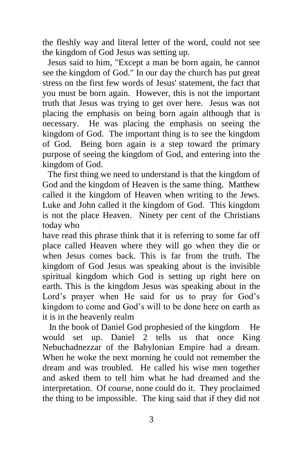the fleshly way and literal letter of the word, could not see the kingdom of God Jesus was setting up.

Jesus said to him, "Except a man be born again, he cannot see the kingdom of God." In our day the church has put great stress on the first few words of Jesus' statement, the fact that you must be born again. However, this is not the important truth that Jesus was trying to get over here. Jesus was not placing the emphasis on being born again although that is necessary. He was placing the emphasis on seeing the kingdom of God. The important thing is to see the kingdom of God. Being born again is a step toward the primary purpose of seeing the kingdom of God, and entering into the kingdom of God.

The first thing we need to understand is that the kingdom of God and the kingdom of Heaven is the same thing. Matthew called it the kingdom of Heaven when writing to the Jews. Luke and John called it the kingdom of God. This kingdom is not the place Heaven. Ninety per cent of the Christians today who

have read this phrase think that it is referring to some far off place called Heaven where they will go when they die or when Jesus comes back. This is far from the truth. The kingdom of God Jesus was speaking about is the invisible spiritual kingdom which God is setting up right here on earth. This is the kingdom Jesus was speaking about in the Lord's prayer when He said for us to pray for God's kingdom to come and God's will to be done here on earth as it is in the heavenly realm

 In the book of Daniel God prophesied of the kingdom He would set up. Daniel 2 tells us that once King Nebuchadnezzar of the Babylonian Empire had a dream. When he woke the next morning he could not remember the dream and was troubled. He called his wise men together and asked them to tell him what he had dreamed and the interpretation. Of course, none could do it. They proclaimed the thing to be impossible. The king said that if they did not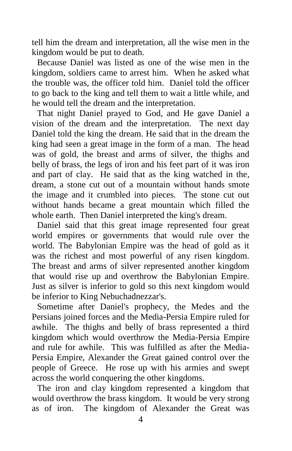tell him the dream and interpretation, all the wise men in the kingdom would be put to death.

Because Daniel was listed as one of the wise men in the kingdom, soldiers came to arrest him. When he asked what the trouble was, the officer told him. Daniel told the officer to go back to the king and tell them to wait a little while, and he would tell the dream and the interpretation.

That night Daniel prayed to God, and He gave Daniel a vision of the dream and the interpretation. The next day Daniel told the king the dream. He said that in the dream the king had seen a great image in the form of a man. The head was of gold, the breast and arms of silver, the thighs and belly of brass, the legs of iron and his feet part of it was iron and part of clay. He said that as the king watched in the, dream, a stone cut out of a mountain without hands smote the image and it crumbled into pieces. The stone cut out without hands became a great mountain which filled the whole earth. Then Daniel interpreted the king's dream.

Daniel said that this great image represented four great world empires or governments that would rule over the world. The Babylonian Empire was the head of gold as it was the richest and most powerful of any risen kingdom. The breast and arms of silver represented another kingdom that would rise up and overthrow the Babylonian Empire. Just as silver is inferior to gold so this next kingdom would be inferior to King Nebuchadnezzar's.

Sometime after Daniel's prophecy, the Medes and the Persians joined forces and the Media-Persia Empire ruled for awhile. The thighs and belly of brass represented a third kingdom which would overthrow the Media-Persia Empire and rule for awhile. This was fulfilled as after the Media-Persia Empire, Alexander the Great gained control over the people of Greece. He rose up with his armies and swept across the world conquering the other kingdoms.

The iron and clay kingdom represented a kingdom that would overthrow the brass kingdom. It would be very strong as of iron. The kingdom of Alexander the Great was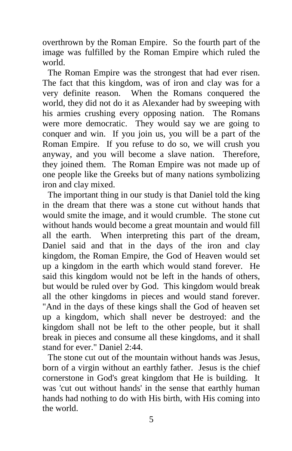overthrown by the Roman Empire. So the fourth part of the image was fulfilled by the Roman Empire which ruled the world.

The Roman Empire was the strongest that had ever risen. The fact that this kingdom, was of iron and clay was for a very definite reason. When the Romans conquered the world, they did not do it as Alexander had by sweeping with his armies crushing every opposing nation. The Romans were more democratic. They would say we are going to conquer and win. If you join us, you will be a part of the Roman Empire. If you refuse to do so, we will crush you anyway, and you will become a slave nation. Therefore, they joined them. The Roman Empire was not made up of one people like the Greeks but of many nations symbolizing iron and clay mixed.

The important thing in our study is that Daniel told the king in the dream that there was a stone cut without hands that would smite the image, and it would crumble. The stone cut without hands would become a great mountain and would fill all the earth. When interpreting this part of the dream, Daniel said and that in the days of the iron and clay kingdom, the Roman Empire, the God of Heaven would set up a kingdom in the earth which would stand forever. He said this kingdom would not be left in the hands of others, but would be ruled over by God. This kingdom would break all the other kingdoms in pieces and would stand forever. "And in the days of these kings shall the God of heaven set up a kingdom, which shall never be destroyed: and the kingdom shall not be left to the other people, but it shall break in pieces and consume all these kingdoms, and it shall stand for ever." Daniel 2:44.

The stone cut out of the mountain without hands was Jesus, born of a virgin without an earthly father. Jesus is the chief cornerstone in God's great kingdom that He is building. It was 'cut out without hands' in the sense that earthly human hands had nothing to do with His birth, with His coming into the world.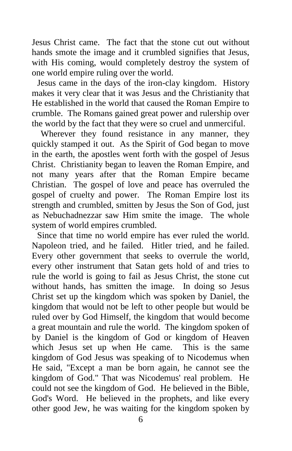Jesus Christ came. The fact that the stone cut out without hands smote the image and it crumbled signifies that Jesus, with His coming, would completely destroy the system of one world empire ruling over the world.

Jesus came in the days of the iron-clay kingdom. History makes it very clear that it was Jesus and the Christianity that He established in the world that caused the Roman Empire to crumble. The Romans gained great power and rulership over the world by the fact that they were so cruel and unmerciful.

Wherever they found resistance in any manner, they quickly stamped it out. As the Spirit of God began to move in the earth, the apostles went forth with the gospel of Jesus Christ. Christianity began to leaven the Roman Empire, and not many years after that the Roman Empire became Christian. The gospel of love and peace has overruled the gospel of cruelty and power. The Roman Empire lost its strength and crumbled, smitten by Jesus the Son of God, just as Nebuchadnezzar saw Him smite the image. The whole system of world empires crumbled.

Since that time no world empire has ever ruled the world. Napoleon tried, and he failed. Hitler tried, and he failed. Every other government that seeks to overrule the world, every other instrument that Satan gets hold of and tries to rule the world is going to fail as Jesus Christ, the stone cut without hands, has smitten the image. In doing so Jesus Christ set up the kingdom which was spoken by Daniel, the kingdom that would not be left to other people but would be ruled over by God Himself, the kingdom that would become a great mountain and rule the world. The kingdom spoken of by Daniel is the kingdom of God or kingdom of Heaven which Jesus set up when He came. This is the same kingdom of God Jesus was speaking of to Nicodemus when He said, "Except a man be born again, he cannot see the kingdom of God." That was Nicodemus' real problem. He could not see the kingdom of God. He believed in the Bible, God's Word. He believed in the prophets, and like every other good Jew, he was waiting for the kingdom spoken by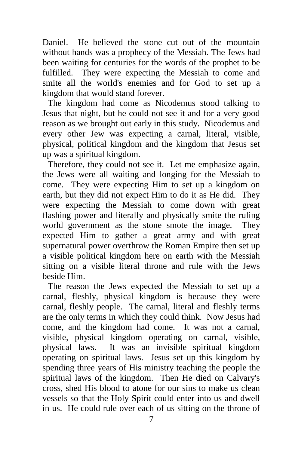Daniel. He believed the stone cut out of the mountain without hands was a prophecy of the Messiah. The Jews had been waiting for centuries for the words of the prophet to be fulfilled. They were expecting the Messiah to come and smite all the world's enemies and for God to set up a kingdom that would stand forever.

The kingdom had come as Nicodemus stood talking to Jesus that night, but he could not see it and for a very good reason as we brought out early in this study. Nicodemus and every other Jew was expecting a carnal, literal, visible, physical, political kingdom and the kingdom that Jesus set up was a spiritual kingdom.

Therefore, they could not see it. Let me emphasize again, the Jews were all waiting and longing for the Messiah to come. They were expecting Him to set up a kingdom on earth, but they did not expect Him to do it as He did. They were expecting the Messiah to come down with great flashing power and literally and physically smite the ruling world government as the stone smote the image. They expected Him to gather a great army and with great supernatural power overthrow the Roman Empire then set up a visible political kingdom here on earth with the Messiah sitting on a visible literal throne and rule with the Jews beside Him.

The reason the Jews expected the Messiah to set up a carnal, fleshly, physical kingdom is because they were carnal, fleshly people. The carnal, literal and fleshly terms are the only terms in which they could think. Now Jesus had come, and the kingdom had come. It was not a carnal, visible, physical kingdom operating on carnal, visible, physical laws. It was an invisible spiritual kingdom operating on spiritual laws. Jesus set up this kingdom by spending three years of His ministry teaching the people the spiritual laws of the kingdom. Then He died on Calvary's cross, shed His blood to atone for our sins to make us clean vessels so that the Holy Spirit could enter into us and dwell in us. He could rule over each of us sitting on the throne of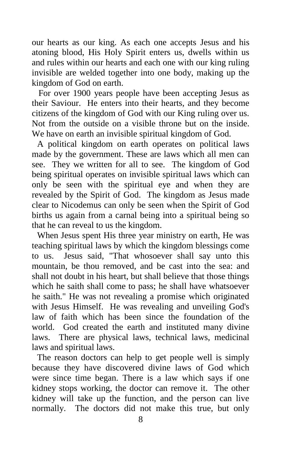our hearts as our king. As each one accepts Jesus and his atoning blood, His Holy Spirit enters us, dwells within us and rules within our hearts and each one with our king ruling invisible are welded together into one body, making up the kingdom of God on earth.

 For over 1900 years people have been accepting Jesus as their Saviour. He enters into their hearts, and they become citizens of the kingdom of God with our King ruling over us. Not from the outside on a visible throne but on the inside. We have on earth an invisible spiritual kingdom of God.

A political kingdom on earth operates on political laws made by the government. These are laws which all men can see. They we written for all to see. The kingdom of God being spiritual operates on invisible spiritual laws which can only be seen with the spiritual eye and when they are revealed by the Spirit of God. The kingdom as Jesus made clear to Nicodemus can only be seen when the Spirit of God births us again from a carnal being into a spiritual being so that he can reveal to us the kingdom.

When Jesus spent His three year ministry on earth, He was teaching spiritual laws by which the kingdom blessings come to us. Jesus said, "That whosoever shall say unto this mountain, be thou removed, and be cast into the sea: and shall not doubt in his heart, but shall believe that those things which he saith shall come to pass; he shall have whatsoever he saith." He was not revealing a promise which originated with Jesus Himself. He was revealing and unveiling God's law of faith which has been since the foundation of the world. God created the earth and instituted many divine laws. There are physical laws, technical laws, medicinal laws and spiritual laws.

The reason doctors can help to get people well is simply because they have discovered divine laws of God which were since time began. There is a law which says if one kidney stops working, the doctor can remove it. The other kidney will take up the function, and the person can live normally. The doctors did not make this true, but only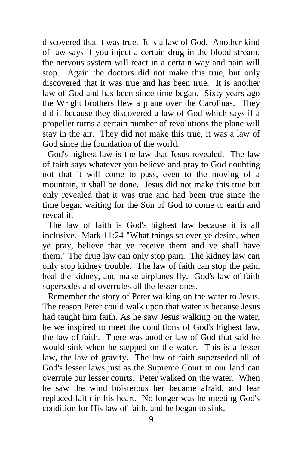discovered that it was true. It is a law of God. Another kind of law says if you inject a certain drug in the blood stream, the nervous system will react in a certain way and pain will stop. Again the doctors did not make this true, but only discovered that it was true and has been true. It is another law of God and has been since time began. Sixty years ago the Wright brothers flew a plane over the Carolinas. They did it because they discovered a law of God which says if a propeller turns a certain number of revolutions the plane will stay in the air. They did not make this true, it was a law of God since the foundation of the world.

God's highest law is the law that Jesus revealed. The law of faith says whatever you believe and pray to God doubting not that it will come to pass, even to the moving of a mountain, it shall be done. Jesus did not make this true but only revealed that it was true and had been true since the time began waiting for the Son of God to come to earth and reveal it.

The law of faith is God's highest law because it is all inclusive. Mark 11:24 "What things so ever ye desire, when ye pray, believe that ye receive them and ye shall have them." The drug law can only stop pain. The kidney law can only stop kidney trouble. The law of faith can stop the pain, heal the kidney, and make airplanes fly. God's law of faith supersedes and overrules all the lesser ones.

Remember the story of Peter walking on the water to Jesus. The reason Peter could walk upon that water is because Jesus had taught him faith. As he saw Jesus walking on the water, he we inspired to meet the conditions of God's highest law, the law of faith. There was another law of God that said he would sink when he stepped on the water. This is a lesser law, the law of gravity. The law of faith superseded all of God's lesser laws just as the Supreme Court in our land can overrule our lesser courts. Peter walked on the water. When he saw the wind boisterous her became afraid, and fear replaced faith in his heart. No longer was he meeting God's condition for His law of faith, and he began to sink.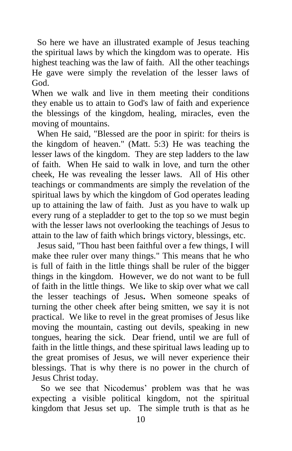So here we have an illustrated example of Jesus teaching the spiritual laws by which the kingdom was to operate. His highest teaching was the law of faith. All the other teachings He gave were simply the revelation of the lesser laws of God.

When we walk and live in them meeting their conditions they enable us to attain to God's law of faith and experience the blessings of the kingdom, healing, miracles, even the moving of mountains.

When He said, "Blessed are the poor in spirit: for theirs is the kingdom of heaven." (Matt. 5:3) He was teaching the lesser laws of the kingdom. They are step ladders to the law of faith. When He said to walk in love, and turn the other cheek, He was revealing the lesser laws. All of His other teachings or commandments are simply the revelation of the spiritual laws by which the kingdom of God operates leading up to attaining the law of faith. Just as you have to walk up every rung of a stepladder to get to the top so we must begin with the lesser laws not overlooking the teachings of Jesus to attain to the law of faith which brings victory, blessings, etc.

Jesus said, "Thou hast been faithful over a few things, I will make thee ruler over many things." This means that he who is full of faith in the little things shall be ruler of the bigger things in the kingdom. However, we do not want to be full of faith in the little things. We like to skip over what we call the lesser teachings of Jesus**.** When someone speaks of turning the other cheek after being smitten, we say it is not practical. We like to revel in the great promises of Jesus like moving the mountain, casting out devils, speaking in new tongues, hearing the sick. Dear friend, until we are full of faith in the little things, and these spiritual laws leading up to the great promises of Jesus, we will never experience their blessings. That is why there is no power in the church of Jesus Christ today.

 So we see that Nicodemus' problem was that he was expecting a visible political kingdom, not the spiritual kingdom that Jesus set up. The simple truth is that as he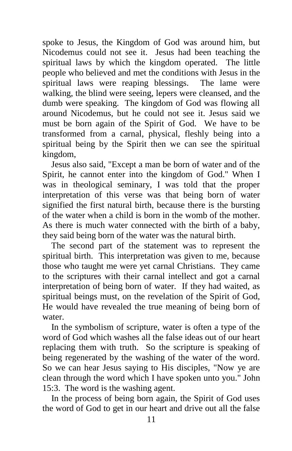spoke to Jesus, the Kingdom of God was around him, but Nicodemus could not see it. Jesus had been teaching the spiritual laws by which the kingdom operated. The little people who believed and met the conditions with Jesus in the spiritual laws were reaping blessings. The lame were walking, the blind were seeing, lepers were cleansed, and the dumb were speaking. The kingdom of God was flowing all around Nicodemus, but he could not see it. Jesus said we must be born again of the Spirit of God. We have to be transformed from a carnal, physical, fleshly being into a spiritual being by the Spirit then we can see the spiritual kingdom,

 Jesus also said, "Except a man be born of water and of the Spirit, he cannot enter into the kingdom of God." When I was in theological seminary, I was told that the proper interpretation of this verse was that being born of water signified the first natural birth, because there is the bursting of the water when a child is born in the womb of the mother. As there is much water connected with the birth of a baby, they said being born of the water was the natural birth.

 The second part of the statement was to represent the spiritual birth. This interpretation was given to me, because those who taught me were yet carnal Christians. They came to the scriptures with their carnal intellect and got a carnal interpretation of being born of water. If they had waited, as spiritual beings must, on the revelation of the Spirit of God, He would have revealed the true meaning of being born of water.

 In the symbolism of scripture, water is often a type of the word of God which washes all the false ideas out of our heart replacing them with truth. So the scripture is speaking of being regenerated by the washing of the water of the word. So we can hear Jesus saying to His disciples, "Now ye are clean through the word which I have spoken unto you." John 15:3. The word is the washing agent.

 In the process of being born again, the Spirit of God uses the word of God to get in our heart and drive out all the false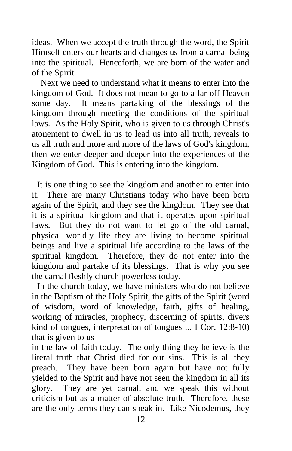ideas. When we accept the truth through the word, the Spirit Himself enters our hearts and changes us from a carnal being into the spiritual. Henceforth, we are born of the water and of the Spirit.

 Next we need to understand what it means to enter into the kingdom of God. It does not mean to go to a far off Heaven some day. It means partaking of the blessings of the kingdom through meeting the conditions of the spiritual laws. As the Holy Spirit, who is given to us through Christ's atonement to dwell in us to lead us into all truth, reveals to us all truth and more and more of the laws of God's kingdom, then we enter deeper and deeper into the experiences of the Kingdom of God. This is entering into the kingdom.

It is one thing to see the kingdom and another to enter into it. There are many Christians today who have been born again of the Spirit, and they see the kingdom. They see that it is a spiritual kingdom and that it operates upon spiritual laws. But they do not want to let go of the old carnal, physical worldly life they are living to become spiritual beings and live a spiritual life according to the laws of the spiritual kingdom. Therefore, they do not enter into the kingdom and partake of its blessings. That is why you see the carnal fleshly church powerless today.

In the church today, we have ministers who do not believe in the Baptism of the Holy Spirit, the gifts of the Spirit (word of wisdom, word of knowledge, faith, gifts of healing, working of miracles, prophecy, discerning of spirits, divers kind of tongues, interpretation of tongues ... I Cor. 12:8-10) that is given to us

in the law of faith today. The only thing they believe is the literal truth that Christ died for our sins. This is all they preach. They have been born again but have not fully yielded to the Spirit and have not seen the kingdom in all its glory. They are yet carnal, and we speak this without criticism but as a matter of absolute truth. Therefore, these are the only terms they can speak in. Like Nicodemus, they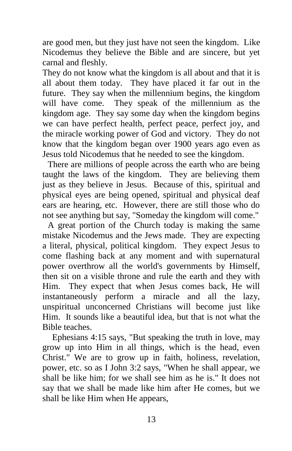are good men, but they just have not seen the kingdom. Like Nicodemus they believe the Bible and are sincere, but yet carnal and fleshly.

They do not know what the kingdom is all about and that it is all about them today. They have placed it far out in the future. They say when the millennium begins, the kingdom will have come. They speak of the millennium as the kingdom age. They say some day when the kingdom begins we can have perfect health, perfect peace, perfect joy, and the miracle working power of God and victory. They do not know that the kingdom began over 1900 years ago even as Jesus told Nicodemus that he needed to see the kingdom.

There are millions of people across the earth who are being taught the laws of the kingdom. They are believing them just as they believe in Jesus. Because of this, spiritual and physical eyes are being opened, spiritual and physical deaf ears are hearing, etc. However, there are still those who do not see anything but say, "Someday the kingdom will come."

A great portion of the Church today is making the same mistake Nicodemus and the Jews made. They are expecting a literal, physical, political kingdom. They expect Jesus to come flashing back at any moment and with supernatural power overthrow all the world's governments by Himself, then sit on a visible throne and rule the earth and they with Him. They expect that when Jesus comes back, He will instantaneously perform a miracle and all the lazy, unspiritual unconcerned Christians will become just like Him. It sounds like a beautiful idea, but that is not what the Bible teaches.

 Ephesians 4:15 says, "But speaking the truth in love, may grow up into Him in all things, which is the head, even Christ." We are to grow up in faith, holiness, revelation, power, etc. so as I John 3:2 says, "When he shall appear, we shall be like him; for we shall see him as he is." It does not say that we shall be made like him after He comes, but we shall be like Him when He appears,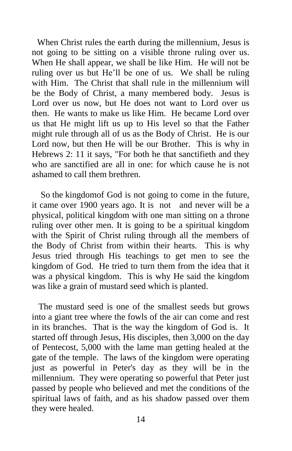When Christ rules the earth during the millennium, Jesus is not going to be sitting on a visible throne ruling over us. When He shall appear, we shall be like Him. He will not be ruling over us but He'll be one of us. We shall be ruling with Him. The Christ that shall rule in the millennium will be the Body of Christ, a many membered body. Jesus is Lord over us now, but He does not want to Lord over us then. He wants to make us like Him. He became Lord over us that He might lift us up to His level so that the Father might rule through all of us as the Body of Christ. He is our Lord now, but then He will be our Brother. This is why in Hebrews 2: 11 it says, "For both he that sanctifieth and they who are sanctified are all in one: for which cause he is not ashamed to call them brethren.

 So the kingdomof God is not going to come in the future, it came over 1900 years ago. It is not and never will be a physical, political kingdom with one man sitting on a throne ruling over other men. It is going to be a spiritual kingdom with the Spirit of Christ ruling through all the members of the Body of Christ from within their hearts. This is why Jesus tried through His teachings to get men to see the kingdom of God. He tried to turn them from the idea that it was a physical kingdom. This is why He said the kingdom was like a grain of mustard seed which is planted.

 The mustard seed is one of the smallest seeds but grows into a giant tree where the fowls of the air can come and rest in its branches. That is the way the kingdom of God is. It started off through Jesus, His disciples, then 3,000 on the day of Pentecost, 5,000 with the lame man getting healed at the gate of the temple. The laws of the kingdom were operating just as powerful in Peter's day as they will be in the millennium. They were operating so powerful that Peter just passed by people who believed and met the conditions of the spiritual laws of faith, and as his shadow passed over them they were healed.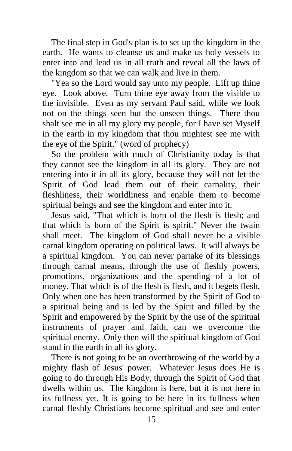The final step in God's plan is to set up the kingdom in the earth. He wants to cleanse us and make us holy vessels to enter into and lead us in all truth and reveal all the laws of the kingdom so that we can walk and live in them.

 "Yea so the Lord would say unto my people. Lift up thine eye. Look above. Turn thine eye away from the visible to the invisible. Even as my servant Paul said, while we look not on the things seen but the unseen things. There thou shalt see me in all my glory my people, for I have set Myself in the earth in my kingdom that thou mightest see me with the eye of the Spirit." (word of prophecy)

 So the problem with much of Christianity today is that they cannot see the kingdom in all its glory. They are not entering into it in all its glory, because they will not let the Spirit of God lead them out of their carnality, their fleshliness, their worldliness and enable them to become spiritual beings and see the kingdom and enter into it.

 Jesus said, "That which is born of the flesh is flesh; and that which is born of the Spirit is spirit." Never the twain shall meet. The kingdom of God shall never be a visible carnal kingdom operating on political laws. It will always be a spiritual kingdom. You can never partake of its blessings through carnal means, through the use of fleshly powers, promotions, organizations and the spending of a lot of money. That which is of the flesh is flesh, and it begets flesh. Only when one has been transformed by the Spirit of God to a spiritual being and is led by the Spirit and filled by the Spirit and empowered by the Spirit by the use of the spiritual instruments of prayer and faith, can we overcome the spiritual enemy. Only then will the spiritual kingdom of God stand in the earth in all its glory.

 There is not going to be an overthrowing of the world by a mighty flash of Jesus' power. Whatever Jesus does He is going to do through His Body, through the Spirit of God that dwells within us. The kingdom is here, but it is not here in its fullness yet. It is going to be here in its fullness when carnal fleshly Christians become spiritual and see and enter